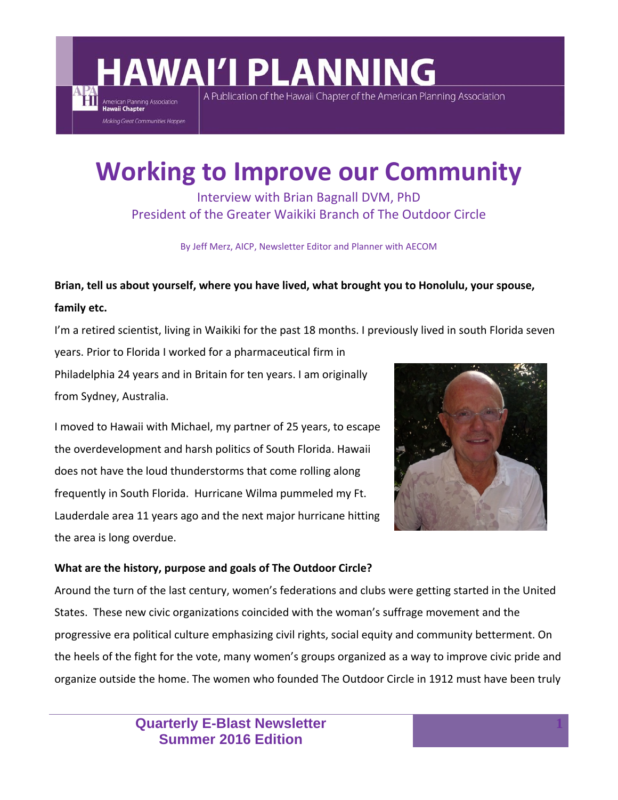A Publication of the Hawaii Chapter of the American Planning Association

### **Working to Improve our Community**

Interview with Brian Bagnall DVM, PhD President of the Greater Waikiki Branch of The Outdoor Circle

By Jeff Merz, AICP, Newsletter Editor and Planner with AECOM

### **Brian, tell us about yourself, where you have lived, what brought you to Honolulu, your spouse, family etc.**

I'm a retired scientist, living in Waikiki for the past 18 months. I previously lived in south Florida seven

years. Prior to Florida I worked for a pharmaceutical firm in Philadelphia 24 years and in Britain for ten years. I am originally from Sydney, Australia.

American Planning Association Making Great Communities Happen

I moved to Hawaii with Michael, my partner of 25 years, to escape the overdevelopment and harsh politics of South Florida. Hawaii does not have the loud thunderstorms that come rolling along frequently in South Florida. Hurricane Wilma pummeled my Ft. Lauderdale area 11 years ago and the next major hurricane hitting the area is long overdue.



#### **What are the history, purpose and goals of The Outdoor Circle?**

Around the turn of the last century, women's federations and clubs were getting started in the United States. These new civic organizations coincided with the woman's suffrage movement and the progressive era political culture emphasizing civil rights, social equity and community betterment. On the heels of the fight for the vote, many women's groups organized as a way to improve civic pride and organize outside the home. The women who founded The Outdoor Circle in 1912 must have been truly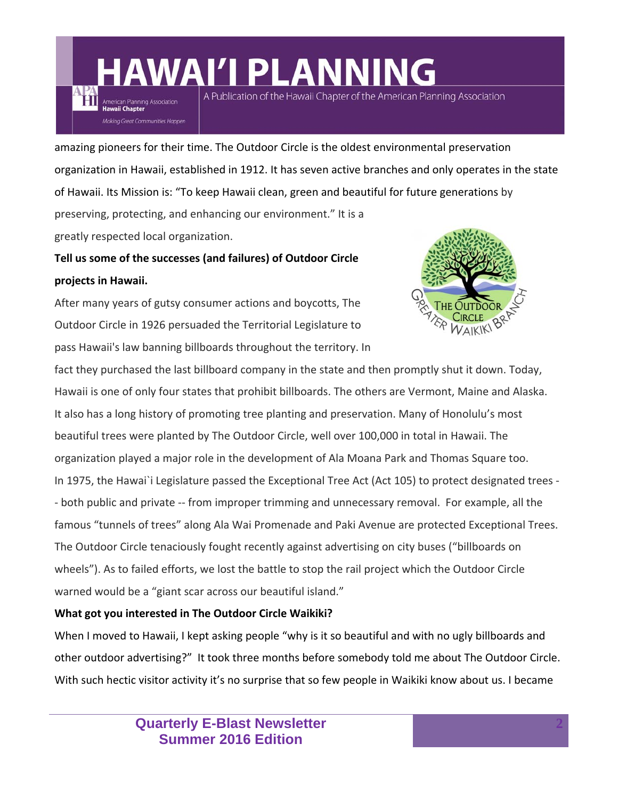A Publication of the Hawaii Chapter of the American Planning Association

amazing pioneers for their time. The Outdoor Circle is the oldest environmental preservation organization in Hawaii, established in 1912. It has seven active branches and only operates in the state of Hawaii. Its Mission is: "To keep Hawaii clean, green and beautiful for future generations by preserving, protecting, and enhancing our environment." It is a greatly respected local organization.

### **Tell us some of the successes (and failures) of Outdoor Circle projects in Hawaii.**

American Planning Association **Hawaii Chapter** 

Makina Great Communities Happen

After many years of gutsy consumer actions and boycotts, The Outdoor Circle in 1926 persuaded the Territorial Legislature to pass Hawaii's law banning billboards throughout the territory. In



fact they purchased the last billboard company in the state and then promptly shut it down. Today, Hawaii is one of only four states that prohibit billboards. The others are Vermont, Maine and Alaska. It also has a long history of promoting tree planting and preservation. Many of Honolulu's most beautiful trees were planted by The Outdoor Circle, well over 100,000 in total in Hawaii. The organization played a major role in the development of Ala Moana Park and Thomas Square too. In 1975, the Hawai`i Legislature passed the Exceptional Tree Act (Act 105) to protect designated trees -‐ both public and private ‐‐ from improper trimming and unnecessary removal. For example, all the famous "tunnels of trees" along Ala Wai Promenade and Paki Avenue are protected Exceptional Trees. The Outdoor Circle tenaciously fought recently against advertising on city buses ("billboards on wheels"). As to failed efforts, we lost the battle to stop the rail project which the Outdoor Circle warned would be a "giant scar across our beautiful island."

#### **What got you interested in The Outdoor Circle Waikiki?**

When I moved to Hawaii, I kept asking people "why is it so beautiful and with no ugly billboards and other outdoor advertising?" It took three months before somebody told me about The Outdoor Circle. With such hectic visitor activity it's no surprise that so few people in Waikiki know about us. I became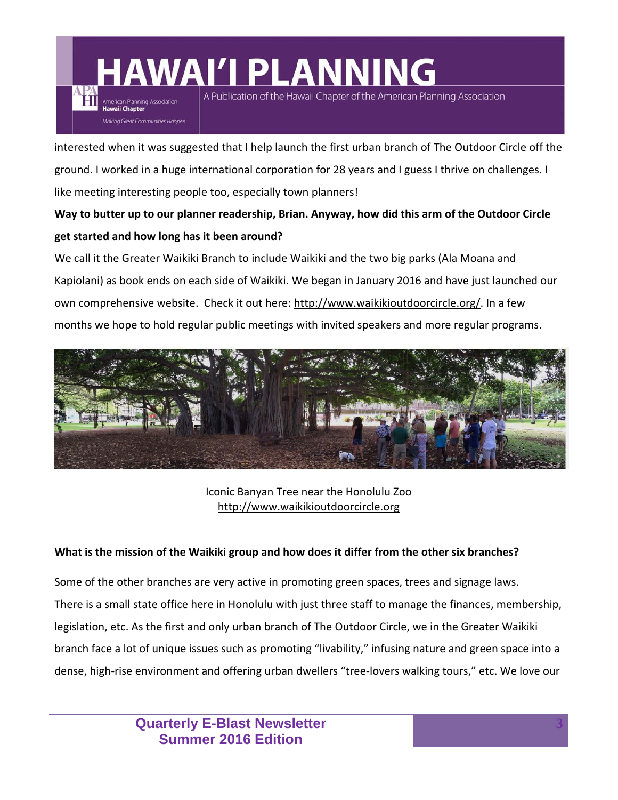American Planning Association Makina Great Communities Happen A Publication of the Hawaii Chapter of the American Planning Association

interested when it was suggested that I help launch the first urban branch of The Outdoor Circle off the ground. I worked in a huge international corporation for 28 years and I guess I thrive on challenges. I like meeting interesting people too, especially town planners!

### **Way to butter up to our planner readership, Brian. Anyway, how did this arm of the Outdoor Circle get started and how long has it been around?**

We call it the Greater Waikiki Branch to include Waikiki and the two big parks (Ala Moana and Kapiolani) as book ends on each side of Waikiki. We began in January 2016 and have just launched our own comprehensive website. Check it out here: http://www.waikikioutdoorcircle.org/. In a few months we hope to hold regular public meetings with invited speakers and more regular programs.



Iconic Banyan Tree near the Honolulu Zoo http://www.waikikioutdoorcircle.org

#### What is the mission of the Waikiki group and how does it differ from the other six branches?

Some of the other branches are very active in promoting green spaces, trees and signage laws. There is a small state office here in Honolulu with just three staff to manage the finances, membership, legislation, etc. As the first and only urban branch of The Outdoor Circle, we in the Greater Waikiki branch face a lot of unique issues such as promoting "livability," infusing nature and green space into a dense, high‐rise environment and offering urban dwellers "tree‐lovers walking tours," etc. We love our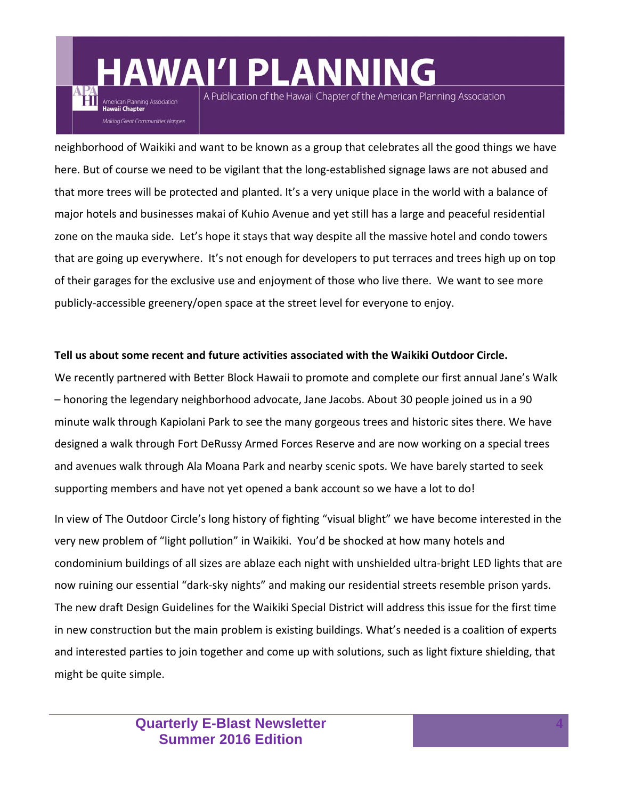American Planning Association Makina Great Communities Happen A Publication of the Hawaii Chapter of the American Planning Association

neighborhood of Waikiki and want to be known as a group that celebrates all the good things we have here. But of course we need to be vigilant that the long‐established signage laws are not abused and that more trees will be protected and planted. It's a very unique place in the world with a balance of major hotels and businesses makai of Kuhio Avenue and yet still has a large and peaceful residential zone on the mauka side. Let's hope it stays that way despite all the massive hotel and condo towers that are going up everywhere. It's not enough for developers to put terraces and trees high up on top of their garages for the exclusive use and enjoyment of those who live there. We want to see more publicly‐accessible greenery/open space at the street level for everyone to enjoy.

#### **Tell us about some recent and future activities associated with the Waikiki Outdoor Circle.**

We recently partnered with Better Block Hawaii to promote and complete our first annual Jane's Walk – honoring the legendary neighborhood advocate, Jane Jacobs. About 30 people joined us in a 90 minute walk through Kapiolani Park to see the many gorgeous trees and historic sites there. We have designed a walk through Fort DeRussy Armed Forces Reserve and are now working on a special trees and avenues walk through Ala Moana Park and nearby scenic spots. We have barely started to seek supporting members and have not yet opened a bank account so we have a lot to do!

In view of The Outdoor Circle's long history of fighting "visual blight" we have become interested in the very new problem of "light pollution" in Waikiki. You'd be shocked at how many hotels and condominium buildings of all sizes are ablaze each night with unshielded ultra-bright LED lights that are now ruining our essential "dark‐sky nights" and making our residential streets resemble prison yards. The new draft Design Guidelines for the Waikiki Special District will address this issue for the first time in new construction but the main problem is existing buildings. What's needed is a coalition of experts and interested parties to join together and come up with solutions, such as light fixture shielding, that might be quite simple.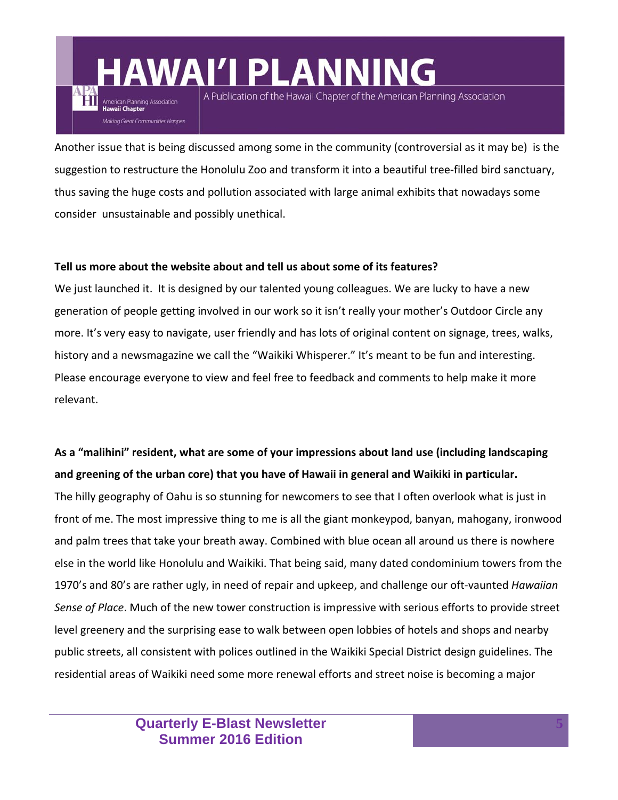A Publication of the Hawaii Chapter of the American Planning Association

Another issue that is being discussed among some in the community (controversial as it may be) is the suggestion to restructure the Honolulu Zoo and transform it into a beautiful tree-filled bird sanctuary, thus saving the huge costs and pollution associated with large animal exhibits that nowadays some consider unsustainable and possibly unethical.

#### **Tell us more about the website about and tell us about some of its features?**

American Planning Association **Hawaii Chapter** 

Makina Great Communities Happen

We just launched it. It is designed by our talented young colleagues. We are lucky to have a new generation of people getting involved in our work so it isn't really your mother's Outdoor Circle any more. It's very easy to navigate, user friendly and has lots of original content on signage, trees, walks, history and a newsmagazine we call the "Waikiki Whisperer." It's meant to be fun and interesting. Please encourage everyone to view and feel free to feedback and comments to help make it more relevant.

### **As a "malihini" resident, what are some of your impressions about land use (including landscaping and greening of the urban core) that you have of Hawaii in general and Waikiki in particular.**

The hilly geography of Oahu is so stunning for newcomers to see that I often overlook what is just in front of me. The most impressive thing to me is all the giant monkeypod, banyan, mahogany, ironwood and palm trees that take your breath away. Combined with blue ocean all around us there is nowhere else in the world like Honolulu and Waikiki. That being said, many dated condominium towers from the 1970's and 80's are rather ugly, in need of repair and upkeep, and challenge our oft‐vaunted *Hawaiian Sense of Place*. Much of the new tower construction is impressive with serious efforts to provide street level greenery and the surprising ease to walk between open lobbies of hotels and shops and nearby public streets, all consistent with polices outlined in the Waikiki Special District design guidelines. The residential areas of Waikiki need some more renewal efforts and street noise is becoming a major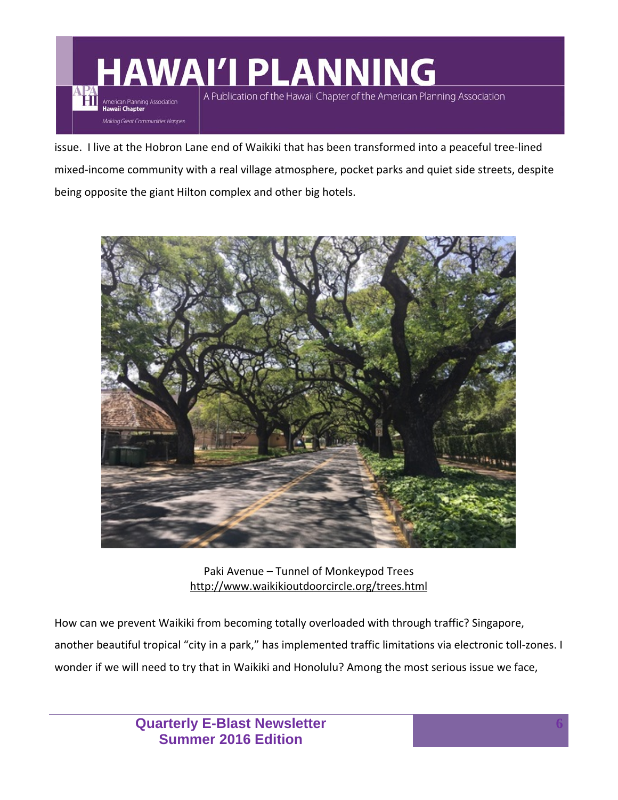ĦП

American Planning Association Making Great Communities Happen A Publication of the Hawaii Chapter of the American Planning Association

issue. I live at the Hobron Lane end of Waikiki that has been transformed into a peaceful tree‐lined mixed‐income community with a real village atmosphere, pocket parks and quiet side streets, despite being opposite the giant Hilton complex and other big hotels.



Paki Avenue – Tunnel of Monkeypod Trees http://www.waikikioutdoorcircle.org/trees.html

How can we prevent Waikiki from becoming totally overloaded with through traffic? Singapore, another beautiful tropical "city in a park," has implemented traffic limitations via electronic toll-zones. I wonder if we will need to try that in Waikiki and Honolulu? Among the most serious issue we face,